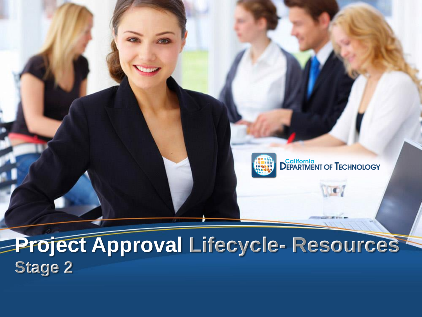#### **Project Approval Lifecycle- Resources Stage 2**



**IC**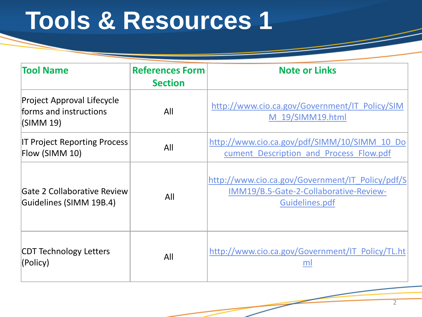| <b>Tool Name</b>                                                  | <b>References Form</b><br><b>Section</b> | <b>Note or Links</b>                                                                                         |
|-------------------------------------------------------------------|------------------------------------------|--------------------------------------------------------------------------------------------------------------|
| Project Approval Lifecycle<br>forms and instructions<br>(SIMM 19) | All                                      | http://www.cio.ca.gov/Government/IT Policy/SIM<br>M 19/SIMM19.html                                           |
| <b>IT Project Reporting Process</b><br>Flow (SIMM 10)             | All                                      | http://www.cio.ca.gov/pdf/SIMM/10/SIMM 10 Do<br>cument Description and Process Flow.pdf                      |
| Gate 2 Collaborative Review<br>Guidelines (SIMM 19B.4)            | All                                      | http://www.cio.ca.gov/Government/IT Policy/pdf/S<br>IMM19/B.5-Gate-2-Collaborative-Review-<br>Guidelines.pdf |
| <b>CDT Technology Letters</b><br>(Policy)                         | All                                      | http://www.cio.ca.gov/Government/IT Policy/TL.ht<br>ml                                                       |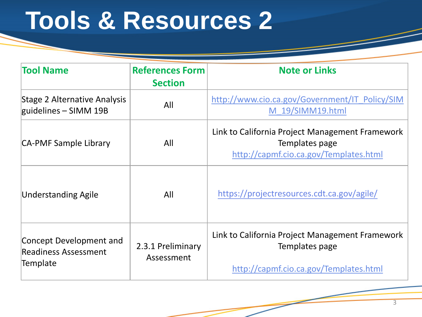| <b>Tool Name</b>                                                   | <b>References Form</b><br><b>Section</b> | <b>Note or Links</b>                                                                                        |
|--------------------------------------------------------------------|------------------------------------------|-------------------------------------------------------------------------------------------------------------|
| Stage 2 Alternative Analysis<br>guidelines $-$ SIMM 19B            | All                                      | http://www.cio.ca.gov/Government/IT Policy/SIM<br>M 19/SIMM19.html                                          |
| CA-PMF Sample Library                                              | All                                      | Link to California Project Management Framework<br>Templates page<br>http://capmf.cio.ca.gov/Templates.html |
| <b>Understanding Agile</b>                                         | All                                      | https://projectresources.cdt.ca.gov/agile/                                                                  |
| Concept Development and<br><b>Readiness Assessment</b><br>Template | 2.3.1 Preliminary<br>Assessment          | Link to California Project Management Framework<br>Templates page<br>http://capmf.cio.ca.gov/Templates.html |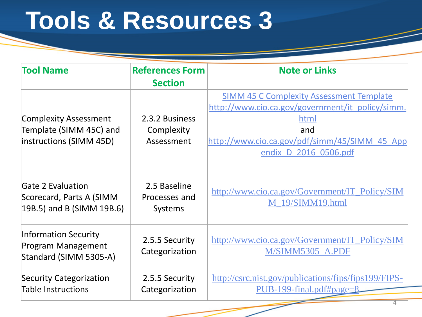| <b>Tool Name</b>                                                                   | <b>References Form</b><br><b>Section</b>        | <b>Note or Links</b>                                                                                                                                                                         |
|------------------------------------------------------------------------------------|-------------------------------------------------|----------------------------------------------------------------------------------------------------------------------------------------------------------------------------------------------|
| <b>Complexity Assessment</b><br>Template (SIMM 45C) and<br>instructions (SIMM 45D) | 2.3.2 Business<br>Complexity<br>Assessment      | <b>SIMM 45 C Complexity Assessment Template</b><br>http://www.cio.ca.gov/government/it policy/simm.<br>html<br>and<br>http://www.cio.ca.gov/pdf/simm/45/SIMM 45 App<br>endix D 2016 0506.pdf |
| <b>Gate 2 Evaluation</b><br>Scorecard, Parts A (SIMM<br>19B.5) and B (SIMM 19B.6)  | 2.5 Baseline<br>Processes and<br><b>Systems</b> | http://www.cio.ca.gov/Government/IT_Policy/SIM<br>M 19/SIMM19.html                                                                                                                           |
| <b>Information Security</b><br>Program Management<br>Standard (SIMM 5305-A)        | 2.5.5 Security<br>Categorization                | http://www.cio.ca.gov/Government/IT_Policy/SIM<br>M/SIMM5305 A.PDF                                                                                                                           |
| <b>Security Categorization</b><br><b>Table Instructions</b>                        | 2.5.5 Security<br>Categorization                | http://csrc.nist.gov/publications/fips/fips199/FIPS-<br>$PUB-199$ -final.pdf#page= $8$                                                                                                       |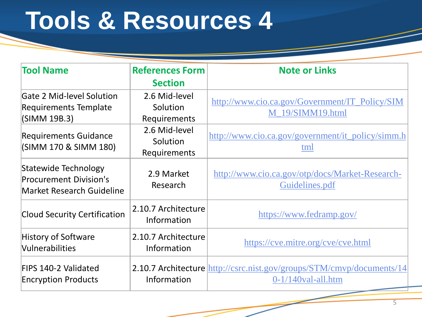| <b>Tool Name</b>                                                                          | <b>References Form</b>                    | <b>Note or Links</b>                                                                                  |
|-------------------------------------------------------------------------------------------|-------------------------------------------|-------------------------------------------------------------------------------------------------------|
|                                                                                           | <b>Section</b>                            |                                                                                                       |
| <b>Gate 2 Mid-level Solution</b><br><b>Requirements Template</b><br>(SIMM 19B.3)          | 2.6 Mid-level<br>Solution<br>Requirements | http://www.cio.ca.gov/Government/IT_Policy/SIM<br>M 19/SIMM19.html                                    |
| <b>Requirements Guidance</b><br>(SIMM 170 & SIMM 180)                                     | 2.6 Mid-level<br>Solution<br>Requirements | http://www.cio.ca.gov/government/it_policy/simm.h<br>tml                                              |
| Statewide Technology<br><b>Procurement Division's</b><br><b>Market Research Guideline</b> | 2.9 Market<br>Research                    | http://www.cio.ca.gov/otp/docs/Market-Research-<br>Guidelines.pdf                                     |
| <b>Cloud Security Certification</b>                                                       | 2.10.7 Architecture<br>Information        | https://www.fedramp.gov/                                                                              |
| <b>History of Software</b><br>Vulnerabilities                                             | 2.10.7 Architecture<br>Information        | https://cve.mitre.org/cve/cve.html                                                                    |
| <b>FIPS 140-2 Validated</b><br><b>Encryption Products</b>                                 | Information                               | <b>2.10.7 Architecture</b> http://csrc.nist.gov/groups/STM/cmvp/documents/14<br>$0-1/140$ val-all.htm |